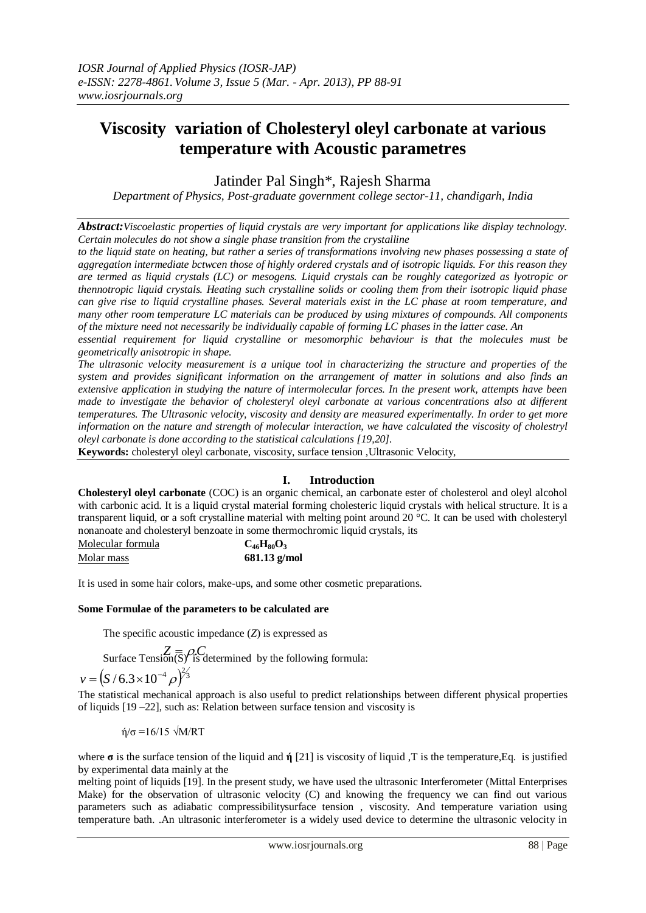# **Viscosity variation of Cholesteryl oleyl carbonate at various temperature with Acoustic parametres**

Jatinder Pal Singh\*, Rajesh Sharma

*Department of Physics, Post-graduate government college sector-11, chandigarh, India*

*Abstract:Viscoelastic properties of liquid crystals are very important for applications like display technology. Certain molecules do not show a single phase transition from the crystalline*

*to the liquid state on heating, but rather a series of transformations involving new phases possessing a state of aggregation intermediate bctwcen those of highly ordered crystals and of isotropic liquids. For this reason they are termed as liquid crystals (LC) or mesogens. Liquid crystals can be roughly categorized as lyotropic or thennotropic liquid crystals. Heating such crystalline solids or cooling them from their isotropic liquid phase can give rise to liquid crystalline phases. Several materials exist in the LC phase at room temperature, and many other room temperature LC materials can be produced by using mixtures of compounds. All components of the mixture need not necessarily be individually capable of forming LC phases in the latter case. An*

*essential requirement for liquid crystalline or mesomorphic behaviour is that the molecules must be geometrically anisotropic in shape.*

*The ultrasonic velocity measurement is a unique tool in characterizing the structure and properties of the system and provides significant information on the arrangement of matter in solutions and also finds an extensive application in studying the nature of intermolecular forces. In the present work, attempts have been made to investigate the behavior of cholesteryl oleyl carbonate at various concentrations also at different temperatures. The Ultrasonic velocity, viscosity and density are measured experimentally. In order to get more information on the nature and strength of molecular interaction, we have calculated the viscosity of cholestryl oleyl carbonate is done according to the statistical calculations [19,20].*

**Keywords:** cholesteryl oleyl carbonate, viscosity, surface tension ,Ultrasonic Velocity,

## **I. Introduction**

**Cholesteryl oleyl carbonate** (COC) is an [organic chemical,](http://en.wikipedia.org/wiki/Organic_chemical) an [carbonate ester](http://en.wikipedia.org/wiki/Carbonate_ester) of [cholesterol](http://en.wikipedia.org/wiki/Cholesterol) and [oleyl alcohol](http://en.wikipedia.org/wiki/Oleyl_alcohol) with [carbonic acid.](http://en.wikipedia.org/wiki/Carbonic_acid) It is a [liquid crystal](http://en.wikipedia.org/wiki/Liquid_crystal) material forming [cholesteric liquid crystals](http://en.wikipedia.org/wiki/Cholesteric_liquid_crystal) with helical structure. It is a transparent liquid, or a soft crystalline material with melting point around 20 °C. It can be used with [cholesteryl](http://en.wikipedia.org/wiki/Cholesteryl_nonanoate)  [nonanoate](http://en.wikipedia.org/wiki/Cholesteryl_nonanoate) an[d cholesteryl benzoate](http://en.wikipedia.org/wiki/Cholesteryl_benzoate) in some [thermochromic](http://en.wikipedia.org/wiki/Thermochromic) liquid crystals, its

[Molecular formula](http://en.wikipedia.org/wiki/Chemical_formula) **C46H80O<sup>3</sup>** [Molar mass](http://en.wikipedia.org/wiki/Molar_mass) **681.13 g/mol**

It is used in some hair colors, make-ups, and some other cosmetic preparations.

## **Some Formulae of the parameters to be calculated are**

The specific acoustic impedance (*Z*) is expressed as

 $Z = \mathcal{Z} \equiv \mathcal{P} \cdot \mathcal{C}$ <br>Surface Tension( $\overline{S}$ )<sup>*C*</sup> is determined by the following formula:  $v = (S/6.3 \times 10^{-4} \rho)^{2/3}$ 

The statistical mechanical approach is also useful to predict relationships between different physical properties of liquids [19 –22], such as: Relation between surface tension and viscosity is

$$
\eta/\sigma = 16/15 \sqrt{M/RT}
$$

where  $\sigma$  is the surface tension of the liquid and  $\dot{\eta}$  [21] is viscosity of liquid ,T is the temperature,Eq. is justified by experimental data mainly at the

melting point of liquids [19]. In the present study, we have used the ultrasonic Interferometer (Mittal Enterprises Make) for the observation of ultrasonic velocity (C) and knowing the frequency we can find out various parameters such as adiabatic compressibilitysurface tension , viscosity. And temperature variation using temperature bath. .An ultrasonic interferometer is a widely used device to determine the ultrasonic velocity in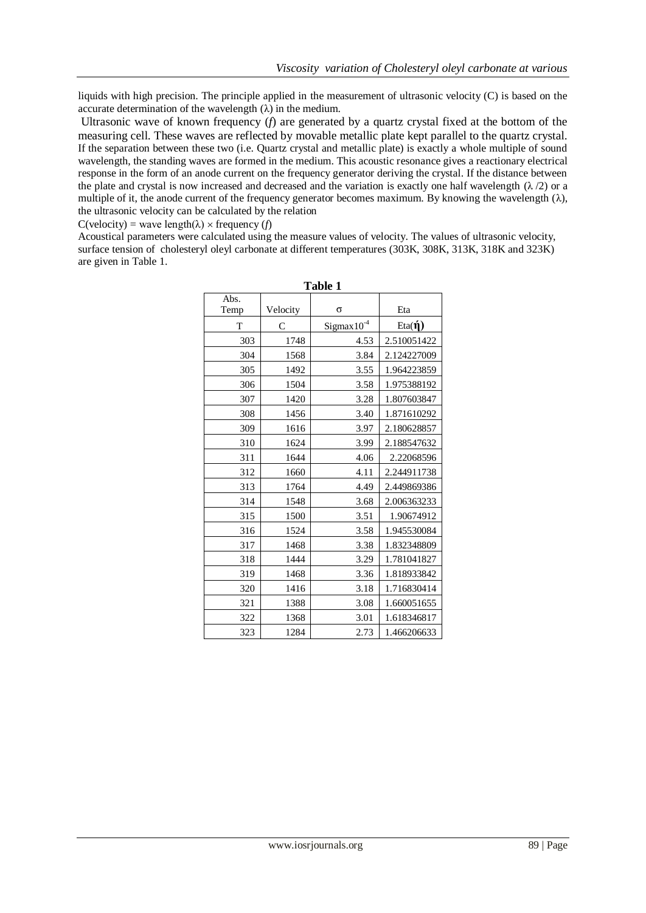liquids with high precision. The principle applied in the measurement of ultrasonic velocity (C) is based on the accurate determination of the wavelength  $(\lambda)$  in the medium.

Ultrasonic wave of known frequency (*f*) are generated by a quartz crystal fixed at the bottom of the measuring cell. These waves are reflected by movable metallic plate kept parallel to the quartz crystal. If the separation between these two (i.e. Quartz crystal and metallic plate) is exactly a whole multiple of sound wavelength, the standing waves are formed in the medium. This acoustic resonance gives a reactionary electrical response in the form of an anode current on the frequency generator deriving the crystal. If the distance between the plate and crystal is now increased and decreased and the variation is exactly one half wavelength  $(\lambda/2)$  or a multiple of it, the anode current of the frequency generator becomes maximum. By knowing the wavelength  $(\lambda)$ , the ultrasonic velocity can be calculated by the relation

 $C(\text{velocity}) = \text{wave length}(\lambda) \times \text{frequency}$  (*f*)

Acoustical parameters were calculated using the measure values of velocity. The values of ultrasonic velocity, surface tension of cholesteryl oleyl carbonate at different temperatures (303K, 308K, 313K, 318K and 323K) are given in Table 1.

| Table 1      |              |                |               |
|--------------|--------------|----------------|---------------|
| Abs.<br>Temp | Velocity     | $\sigma$       | Eta           |
|              |              |                |               |
| T            | $\mathsf{C}$ | $Sigma10^{-4}$ | Eta( $\eta$ ) |
| 303          | 1748         | 4.53           | 2.510051422   |
| 304          | 1568         | 3.84           | 2.124227009   |
| 305          | 1492         | 3.55           | 1.964223859   |
| 306          | 1504         | 3.58           | 1.975388192   |
| 307          | 1420         | 3.28           | 1.807603847   |
| 308          | 1456         | 3.40           | 1.871610292   |
| 309          | 1616         | 3.97           | 2.180628857   |
| 310          | 1624         | 3.99           | 2.188547632   |
| 311          | 1644         | 4.06           | 2.22068596    |
| 312          | 1660         | 4.11           | 2.244911738   |
| 313          | 1764         | 4.49           | 2.449869386   |
| 314          | 1548         | 3.68           | 2.006363233   |
| 315          | 1500         | 3.51           | 1.90674912    |
| 316          | 1524         | 3.58           | 1.945530084   |
| 317          | 1468         | 3.38           | 1.832348809   |
| 318          | 1444         | 3.29           | 1.781041827   |
| 319          | 1468         | 3.36           | 1.818933842   |
| 320          | 1416         | 3.18           | 1.716830414   |
| 321          | 1388         | 3.08           | 1.660051655   |
| 322          | 1368         | 3.01           | 1.618346817   |
| 323          | 1284         | 2.73           | 1.466206633   |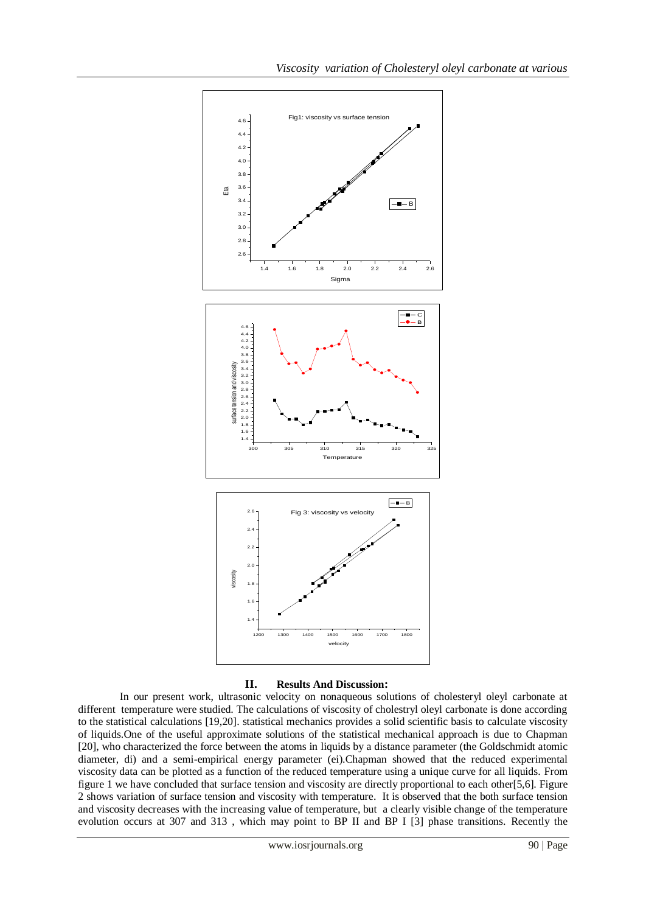

#### **II. Results And Discussion:**

In our present work, ultrasonic velocity on nonaqueous solutions of cholesteryl oleyl carbonate at different temperature were studied. The calculations of viscosity of cholestryl oleyl carbonate is done according to the statistical calculations [19,20]. statistical mechanics provides a solid scientific basis to calculate viscosity of liquids.One of the useful approximate solutions of the statistical mechanical approach is due to Chapman [20], who characterized the force between the atoms in liquids by a distance parameter (the Goldschmidt atomic diameter, di) and a semi-empirical energy parameter (ei).Chapman showed that the reduced experimental viscosity data can be plotted as a function of the reduced temperature using a unique curve for all liquids. From figure 1 we have concluded that surface tension and viscosity are directly proportional to each other[5,6]. Figure 2 shows variation of surface tension and viscosity with temperature. It is observed that the both surface tension and viscosity decreases with the increasing value of temperature, but a clearly visible change of the temperature evolution occurs at 307 and 313 , which may point to BP II and BP I [3] phase transitions. Recently the